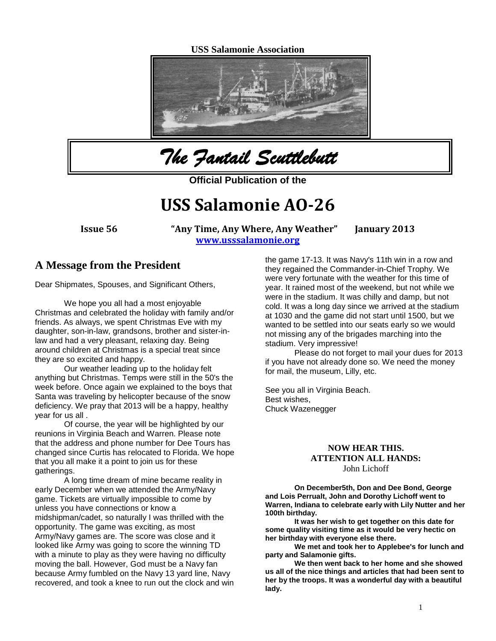**USS Salamonie Association**



*The Fantail Scuttlebutt* 

**Official Publication of the** 

# **USS Salamonie AO-26**

**Issue 56 "Any Time, Any Where, Any Weather" January 2013 [www.usssalamonie.org](http://www.usssalamonie.org/)**

### **A Message from the President**

Dear Shipmates, Spouses, and Significant Others,

We hope you all had a most enjoyable Christmas and celebrated the holiday with family and/or friends. As always, we spent Christmas Eve with my daughter, son-in-law, grandsons, brother and sister-inlaw and had a very pleasant, relaxing day. Being around children at Christmas is a special treat since they are so excited and happy.

Our weather leading up to the holiday felt anything but Christmas. Temps were still in the 50's the week before. Once again we explained to the boys that Santa was traveling by helicopter because of the snow deficiency. We pray that 2013 will be a happy, healthy year for us all .

Of course, the year will be highlighted by our reunions in Virginia Beach and Warren. Please note that the address and phone number for Dee Tours has changed since Curtis has relocated to Florida. We hope that you all make it a point to join us for these gatherings.

A long time dream of mine became reality in early December when we attended the Army/Navy game. Tickets are virtually impossible to come by unless you have connections or know a midshipman/cadet, so naturally I was thrilled with the opportunity. The game was exciting, as most Army/Navy games are. The score was close and it looked like Army was going to score the winning TD with a minute to play as they were having no difficulty moving the ball. However, God must be a Navy fan because Army fumbled on the Navy 13 yard line, Navy recovered, and took a knee to run out the clock and win

the game 17-13. It was Navy's 11th win in a row and they regained the Commander-in-Chief Trophy. We were very fortunate with the weather for this time of year. It rained most of the weekend, but not while we were in the stadium. It was chilly and damp, but not cold. It was a long day since we arrived at the stadium at 1030 and the game did not start until 1500, but we wanted to be settled into our seats early so we would not missing any of the brigades marching into the stadium. Very impressive!

Please do not forget to mail your dues for 2013 if you have not already done so. We need the money for mail, the museum, Lilly, etc.

See you all in Virginia Beach. Best wishes, Chuck Wazenegger

#### **NOW HEAR THIS. ATTENTION ALL HANDS:** John Lichoff

**On December5th, Don and Dee Bond, George and Lois Perrualt, John and Dorothy Lichoff went to Warren, Indiana to celebrate early with Lily Nutter and her 100th birthday.** 

**It was her wish to get together on this date for some quality visiting time as it would be very hectic on her birthday with everyone else there.**

**We met and took her to Applebee's for lunch and party and Salamonie gifts.**

**We then went back to her home and she showed us all of the nice things and articles that had been sent to her by the troops. It was a wonderful day with a beautiful lady.**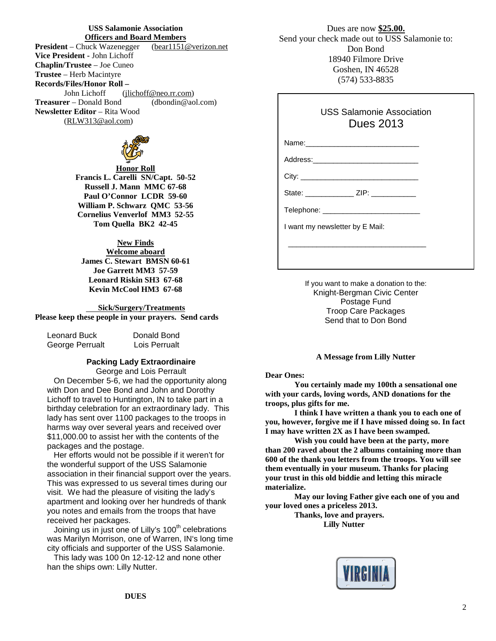# **USS Salamonie Association**

**Officers and Board Members**<br>uuck Wazenegger (bearl 151@verizon.net) **President** – Chuck Wazenegger **Vice President -** John Lichoff **Chaplin/Trustee** – Joe Cuneo **Trustee** – Herb Macintyre **Records/Files/Honor Roll –** John Lichoff [\(jlichoff@neo.rr.com\)](mailto:jlichoff@neo.rr.com) **Treasurer** – Donald Bond (dbondin@aol.com) **Newsletter Editor** – Rita Wood [\(RLW313@aol.com\)](mailto:RLW313@aol.com)



**Honor Roll Francis L. Carelli SN/Capt. 50-52 Russell J. Mann MMC 67-68 Paul O'Connor LCDR 59-60 William P. Schwarz QMC 53-56 Cornelius Venverlof MM3 52-55 Tom Quella BK2 42-45** 

#### **New Finds**

**Welcome aboard James C. Stewart BMSN 60-61 Joe Garrett MM3 57-59 Leonard Riskin SH3 67-68 Kevin McCool HM3 67-68**

#### **Sick/Surgery/Treatments**

**Please keep these people in your prayers. Send cards**

| Leonard Buck    | Donald Bond   |  |
|-----------------|---------------|--|
| George Perrualt | Lois Perrualt |  |

#### **Packing Lady Extraordinaire** George and Lois Perrault

 On December 5-6, we had the opportunity along with Don and Dee Bond and John and Dorothy Lichoff to travel to Huntington, IN to take part in a birthday celebration for an extraordinary lady. This lady has sent over 1100 packages to the troops in harms way over several years and received over \$11,000.00 to assist her with the contents of the packages and the postage.

 Her efforts would not be possible if it weren't for the wonderful support of the USS Salamonie association in their financial support over the years. This was expressed to us several times during our visit. We had the pleasure of visiting the lady's apartment and looking over her hundreds of thank you notes and emails from the troops that have received her packages.

Joining us in just one of Lilly's 100<sup>th</sup> celebrations was Marilyn Morrison, one of Warren, IN's long time city officials and supporter of the USS Salamonie.

 This lady was 100 0n 12-12-12 and none other han the ships own: Lilly Nutter.

Dues are now **\$25.00.** Send your check made out to USS Salamonie to: Don Bond 18940 Filmore Drive Goshen, IN 46528 (574) 533-8835

#### USS Salamonie Association Dues 2013

Name:\_\_\_\_\_\_\_\_\_\_\_\_\_\_\_\_\_\_\_\_\_\_\_\_\_\_\_\_

Address:\_\_\_\_\_\_\_\_\_\_\_\_\_\_\_\_\_\_\_\_\_\_\_\_\_\_

City:

 $\overline{\phantom{a}}$  , which is a set of the set of the set of the set of the set of the set of the set of the set of the set of the set of the set of the set of the set of the set of the set of the set of the set of the set of th

State: \_\_\_\_\_\_\_\_\_\_\_\_\_\_ ZIP: \_\_\_\_\_\_\_\_\_\_\_

Telephone: \_\_\_\_\_\_\_\_\_\_\_\_\_\_\_\_\_\_\_\_\_\_\_\_

I want my newsletter by E Mail:

If you want to make a donation to the: Knight-Bergman Civic Center Postage Fund Troop Care Packages Send that to Don Bond

#### **A Message from Lilly Nutter**

#### **Dear Ones:**

**You certainly made my 100th a sensational one with your cards, loving words, AND donations for the troops, plus gifts for me.**

**I think I have written a thank you to each one of you, however, forgive me if I have missed doing so. In fact I may have written 2X as I have been swamped.**

**Wish you could have been at the party, more than 200 raved about the 2 albums containing more than 600 of the thank you letters from the troops. You will see them eventually in your museum. Thanks for placing your trust in this old biddie and letting this miracle materialize.**

**May our loving Father give each one of you and your loved ones a priceless 2013.**

> **Thanks, love and prayers. Lilly Nutter**

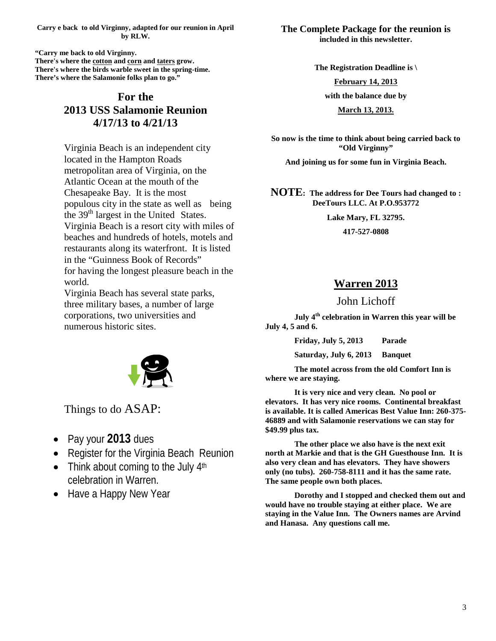**Carry e back to old Virginny, adapted for our reunion in April by RLW.**

**"Carry me back to old Virginny. There's where th[e cotton](http://en.wikipedia.org/wiki/Cotton) an[d corn](http://en.wikipedia.org/wiki/Maize) and [taters](http://en.wikipedia.org/wiki/Potato) grow. There's where the birds warble sweet in the spring-time. There's where the Salamonie folks plan to go."**

## **For the 2013 USS Salamonie Reunion 4/17/13 to 4/21/13**

Virginia Beach is an independent city located in the Hampton Roads metropolitan area of Virginia, on the Atlantic Ocean at the mouth of the Chesapeake Bay. It is the most populous city in the state as well as being the 39<sup>th</sup> largest in the United States. Virginia Beach is a resort city with miles of beaches and hundreds of hotels, motels and restaurants along its waterfront. It is listed in the "Guinness Book of Records" for having the longest pleasure beach in the world.

Virginia Beach has several state parks, three military bases, a number of large corporations, two universities and numerous historic sites.



Things to do ASAP:

- Pay your **2013** dues
- Register for the Virginia Beach Reunion
- Think about coming to the July  $4<sup>th</sup>$ celebration in Warren.
- Have a Happy New Year

**The Complete Package for the reunion is included in this newsletter.**

**The Registration Deadline is \**

**February 14, 2013**

**with the balance due by** 

**March 13, 2013.**

**So now is the time to think about being carried back to "Old Virginny"** 

**And joining us for some fun in Virginia Beach.**

**NOTE: The address for Dee Tours had changed to : DeeTours LLC. At P.O.953772**

**Lake Mary, FL 32795.**

**417-527-0808**

### **Warren 2013**

## John Lichoff

**July 4th celebration in Warren this year will be July 4, 5 and 6.**

**Friday, July 5, 2013 Parade**

**Saturday, July 6, 2013 Banquet**

**The motel across from the old Comfort Inn is where we are staying.** 

**It is very nice and very clean. No pool or elevators. It has very nice rooms. Continental breakfast is available. It is called Americas Best Value Inn: 260-375- 46889 and with Salamonie reservations we can stay for \$49.99 plus tax.**

**The other place we also have is the next exit north at Markie and that is the GH Guesthouse Inn. It is also very clean and has elevators. They have showers only (no tubs). 260-758-8111 and it has the same rate. The same people own both places.**

**Dorothy and I stopped and checked them out and would have no trouble staying at either place. We are staying in the Value Inn. The Owners names are Arvind and Hanasa. Any questions call me.**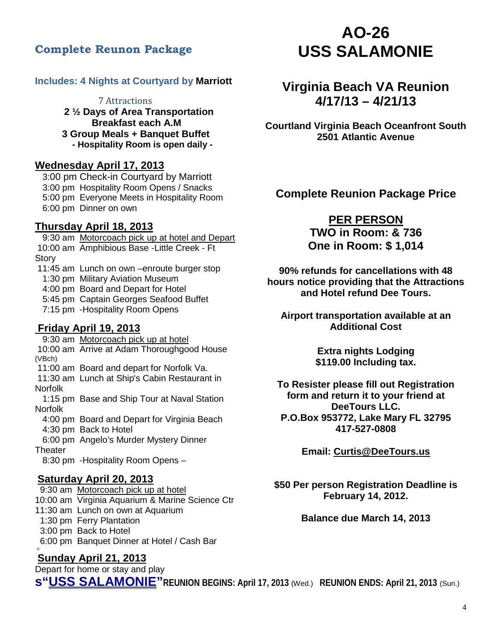## **Complete Reunon Package**

#### **Includes: 4 Nights at Courtyard by Marriott**

 7 Attractions **2 ½ Days of Area Transportation Breakfast each A.M 3 Group Meals + Banquet Buffet - Hospitality Room is open daily -**

## **Wednesday April 17, 2013**

 3:00 pm Check-in Courtyard by Marriott 3:00 pm Hospitality Room Opens / Snacks 5:00 pm Everyone Meets in Hospitality Room 6:00 pm Dinner on own

### **Thursday April 18, 2013**

 9:30 am Motorcoach pick up at hotel and Depart 10:00 am Amphibious Base -Little Creek - Ft Story

11:45 am Lunch on own –enroute burger stop<br>1:30 pm Military Aviation Museum **4:00 pm Board and Depart for Hotel** 

5:45 pm Captain Georges Seafood Buffet

7:15 pm -Hospitality Room Opens

### **Friday April 19, 2013**

 9:30 am Motorcoach pick up at hotel 10:00 am Arrive at Adam Thoroughgood House (VBch) 11:00 am Board and depart for Norfolk Va. 11:30 am Lunch at Ship's Cabin Restaurant in Norfolk 1:15 pm Base and Ship Tour at Naval Station Norfolk

 4:00 pm Board and Depart for Virginia Beach 4:30 pm Back to Hotel

 6:00 pm Angelo's Murder Mystery Dinner **Theater** 

8:30 pm -Hospitality Room Opens –

#### **Saturday April 20, 2013**

 9:30 am Motorcoach pick up at hotel 10:00 am Virginia Aquarium & Marine Science Ctr 11:30 am Lunch on own at Aquarium 1:30 pm Ferry Plantation 3:00 pm Back to Hotel 6:00 pm Banquet Dinner at Hotel / Cash Barn

## **Sunday April 21, 2013**

Depart for home or stay and play **s"USS SALAMONIE"REUNION BEGINS: April 17, 2013** (Wed.) **REUNION ENDS: April 21, 2013** (Sun.)

# **AO-26 USS SALAMONIE**

## **Virginia Beach VA Reunion 4/17/13 – 4/21/13**

**Courtland Virginia Beach Oceanfront South 2501 Atlantic Avenue**

**Complete Reunion Package Price**

## **PER PERSON**

**TWO in Room: & 736 One in Room: \$ 1,014**

**90% refunds for cancellations with 48 hours notice providing that the Attractions and Hotel refund Dee Tours.**

**Airport transportation available at an Additional Cost**

> **Extra nights Lodging \$119.00 Including tax.**

**To Resister please fill out Registration form and return it to your friend at DeeTours LLC. P.O.Box 953772, Lake Mary FL 32795 417-527-0808**

**Email: [Curtis@DeeTours.us](mailto:Curtis@DeeTours.us)**

**\$50 Per person Registration Deadline is February 14, 2012.**

**Balance due March 14, 2013**